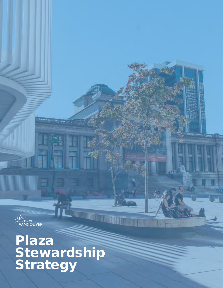

2118

# Plaza **Stewardship** Strategy

**Plaza**

Stewart Strategy of the Strategy of the Strategy of the Strategy of the Strategy of the Strategy of the Strategy

 $\mathcal{L} = \mathcal{L}$ 

 $\mathscr{L}(\mathbb{R})$ 

**Company of the Company of the Company of the Company of the Company of the Company of the Company of the Company** 

Services, Street, Street, Street, Street, Street, Street, Street, Street, Street, Street, Street, Street, Street,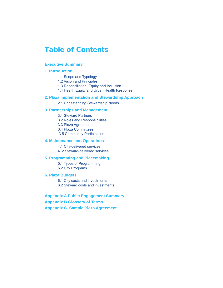### Table of Contents

#### **Executive Summary**

#### **1. Introduction**

- 1.1 Scope and Typology
- 1.2 Vision and Principles
- 1.3 Reconciliation, Equity and Inclusion
- 1.4 Health Equity and Urban Health Response

#### **2. Plaza Implementation and Stewardship Approach**

2.1 Undestanding Stewardship Needs

#### **3. Partnerships and Management**

- 3.1 Steward Partners
- 3.2 Roles and Responsibilities
- 3.3 Plaza Agreements
- 3.4 Plaza Committees
- 3.5 Community Participation

#### **4. Maintenance and Operations**

- 4.1 City-delivered services
- 4. 2 Steward-delivered services

#### **5. Programming and Placemaking**

- 5.1 Types of Programming
- 5.2 City Programs

#### **6. Plaza Budgets**

6.1 City costs and investments

6.2 Steward costs and investments

#### **Appendix A Public Engagement Summary**

**Appendix B Glossary of Terms**

**Appendix C Sample Plaza Agreement**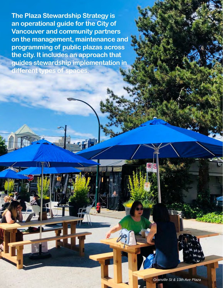**The Plaza Stewardship Strategy is an operational guide for the City of Vancouver and community partners on the management, maintenance and programming of public plazas across the city. It includes an approach that guides stewardship implementation in different types of spaces.**